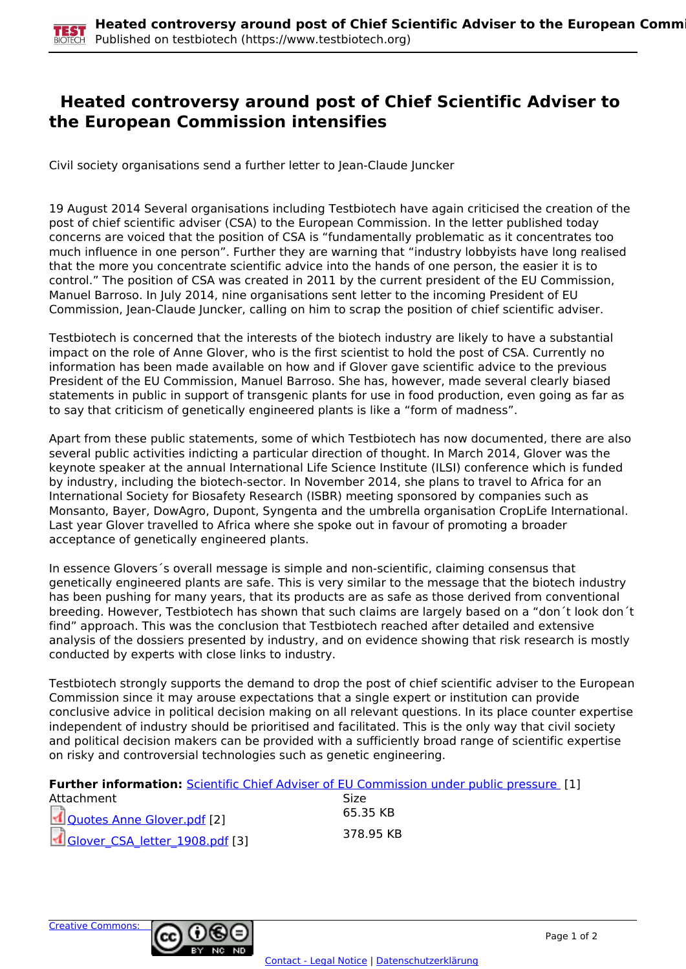## **Heated controversy around post of Chief Scientific Adviser to the European Commission intensifies**

Civil society organisations send a further letter to Jean-Claude Juncker

19 August 2014 Several organisations including Testbiotech have again criticised the creation of the post of chief scientific adviser (CSA) to the European Commission. In the letter published today concerns are voiced that the position of CSA is "fundamentally problematic as it concentrates too much influence in one person". Further they are warning that "industry lobbyists have long realised that the more you concentrate scientific advice into the hands of one person, the easier it is to control." The position of CSA was created in 2011 by the current president of the EU Commission, Manuel Barroso. In July 2014, nine organisations sent letter to the incoming President of EU Commission, Jean-Claude Juncker, calling on him to scrap the position of chief scientific adviser.

Testbiotech is concerned that the interests of the biotech industry are likely to have a substantial impact on the role of Anne Glover, who is the first scientist to hold the post of CSA. Currently no information has been made available on how and if Glover gave scientific advice to the previous President of the EU Commission, Manuel Barroso. She has, however, made several clearly biased statements in public in support of transgenic plants for use in food production, even going as far as to say that criticism of genetically engineered plants is like a "form of madness".

Apart from these public statements, some of which Testbiotech has now documented, there are also several public activities indicting a particular direction of thought. In March 2014, Glover was the keynote speaker at the annual International Life Science Institute (ILSI) conference which is funded by industry, including the biotech-sector. In November 2014, she plans to travel to Africa for an International Society for Biosafety Research (ISBR) meeting sponsored by companies such as Monsanto, Bayer, DowAgro, Dupont, Syngenta and the umbrella organisation CropLife International. Last year Glover travelled to Africa where she spoke out in favour of promoting a broader acceptance of genetically engineered plants.

In essence Glovers´s overall message is simple and non-scientific, claiming consensus that genetically engineered plants are safe. This is very similar to the message that the biotech industry has been pushing for many years, that its products are as safe as those derived from conventional breeding. However, Testbiotech has shown that such claims are largely based on a "don´t look don´t find" approach. This was the conclusion that Testbiotech reached after detailed and extensive analysis of the dossiers presented by industry, and on evidence showing that risk research is mostly conducted by experts with close links to industry.

Testbiotech strongly supports the demand to drop the post of chief scientific adviser to the European Commission since it may arouse expectations that a single expert or institution can provide conclusive advice in political decision making on all relevant questions. In its place counter expertise independent of industry should be prioritised and facilitated. This is the only way that civil society and political decision makers can be provided with a sufficiently broad range of scientific expertise on risky and controversial technologies such as genetic engineering.

**Further information:** [Scientific Chief Adviser of EU Commission under public pressure](http://www.testbiotech.org/en/node/1089) [1]

| Attachment                     | Size      |
|--------------------------------|-----------|
| Ouotes Anne Glover.pdf [2]     | 65.35 KB  |
| Glover_CSA_letter_1908.pdf [3] | 378.95 KB |